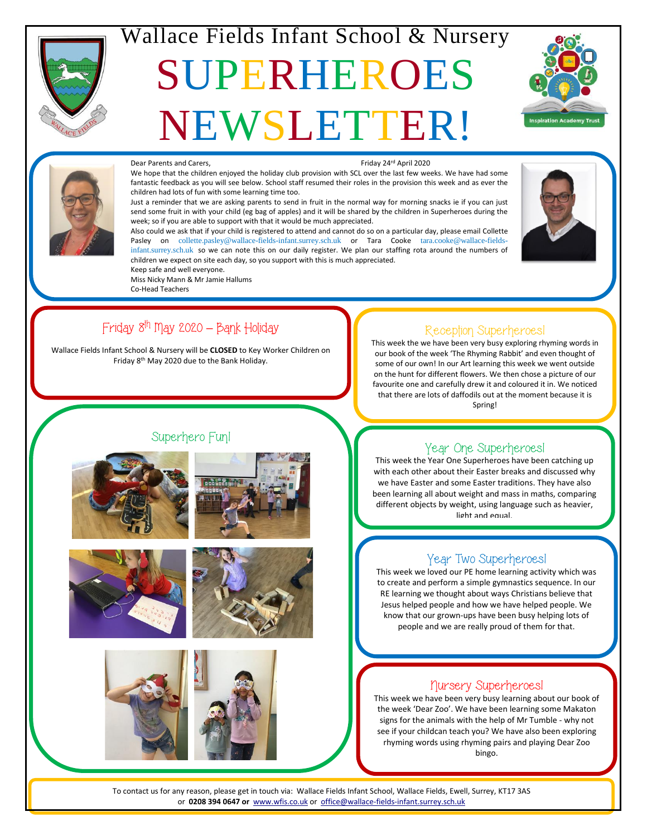

# Wallace Fields Infant School & Nursery

# SUPERHEROES NEWSLETTER!





#### Dear Parents and Carers, The Carecter of Carel and Carers, Friday 24<sup>rd</sup> April 2020

We hope that the children enjoyed the holiday club provision with SCL over the last few weeks. We have had some fantastic feedback as you will see below. School staff resumed their roles in the provision this week and as ever the children had lots of fun with some learning time too.

Just a reminder that we are asking parents to send in fruit in the normal way for morning snacks ie if you can just send some fruit in with your child (eg bag of apples) and it will be shared by the children in Superheroes during the week; so if you are able to support with that it would be much appreciated.

Also could we ask that if your child is registered to attend and cannot do so on a particular day, please email Collette Pasley on [collette.pasley@wallace-fields-infant.surrey.sch.uk](mailto:collette.pasley@wallace-fields-infant.surrey.sch.uk) or Tara Cooke [tara.cooke@wallace-fields](mailto:tara.cooke@wallace-fields-infant.surrey.sch.uk)[infant.surrey.sch.uk](mailto:tara.cooke@wallace-fields-infant.surrey.sch.uk) so we can note this on our daily register. We plan our staffing rota around the numbers of children we expect on site each day, so you support with this is much appreciated. Keep safe and well everyone.



# Friday 8th May 2020 **–** Bank Holiday

Miss Nicky Mann & Mr Jamie Hallums

Co-Head Teachers

Wallace Fields Infant School & Nursery will be **CLOSED** to Key Worker Children on Friday 8th May 2020 due to the Bank Holiday.

### Reception Superheroes!

This week the we have been very busy exploring rhyming words in our book of the week 'The Rhyming Rabbit' and even thought of some of our own! In our Art learning this week we went outside on the hunt for different flowers. We then chose a picture of our favourite one and carefully drew it and coloured it in. We noticed that there are lots of daffodils out at the moment because it is Spring!

### Superhero Fun!













Year Two Superheroes! This week we loved our PE home learning activity which was

to create and perform a simple gymnastics sequence. In our RE learning we thought about ways Christians believe that Jesus helped people and how we have helped people. We know that our grown-ups have been busy helping lots of people and we are really proud of them for that.

## Nursery Superheroes!

This week we have been very busy learning about our book of the week 'Dear Zoo'. We have been learning some Makaton signs for the animals with the help of Mr Tumble - why not see if your childcan teach you? We have also been exploring rhyming words using rhyming pairs and playing Dear Zoo bingo.

To contact us for any reason, please get in touch via: Wallace Fields Infant School, Wallace Fields, Ewell, Surrey, KT17 3AS or **0208 394 0647 or** [www.wfis.co.uk](http://www.wfis.co.uk/) or [office@wallace-fields-infant.surrey.sch.uk](mailto:office@wallace-fields-infant.surrey.sch.uk)<br>————————————————————

### Year One Superheroes!

This week the Year One Superheroes have been catching up with each other about their Easter breaks and discussed why we have Easter and some Easter traditions. They have also been learning all about weight and mass in maths, comparing different objects by weight, using language such as heavier, light and equal.